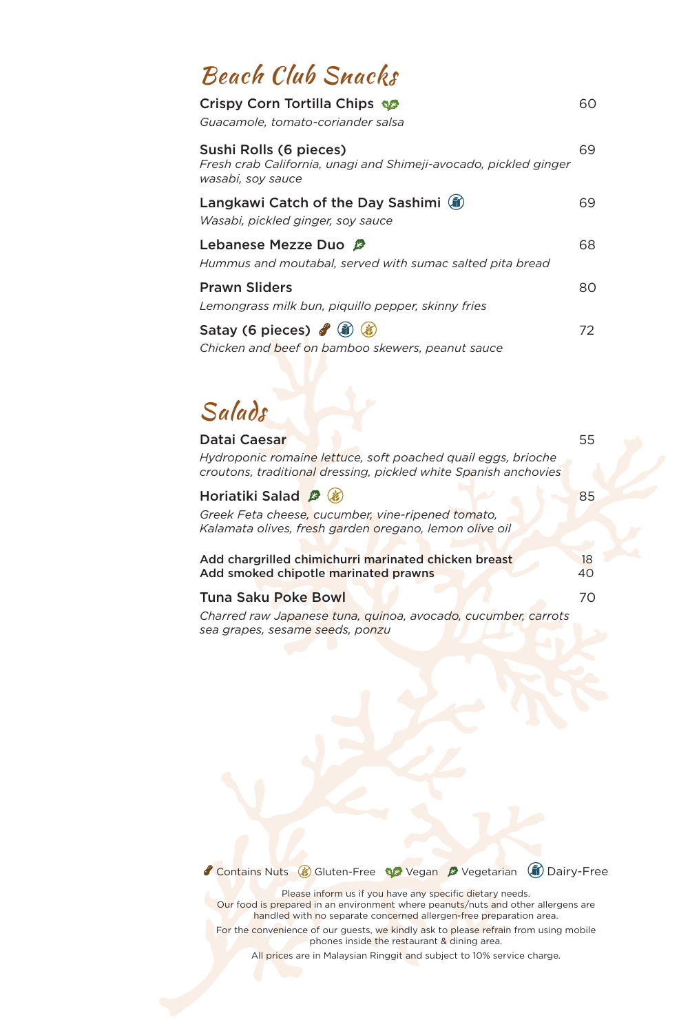## Beach Club Snacks

| Crispy Corn Tortilla Chips<br>Guacamole, tomato-coriander salsa                                                 | 60 |
|-----------------------------------------------------------------------------------------------------------------|----|
| Sushi Rolls (6 pieces)<br>Fresh crab California, unagi and Shimeji-avocado, pickled ginger<br>wasabi, soy sauce | 69 |
| Langkawi Catch of the Day Sashimi (ii)<br>Wasabi, pickled ginger, soy sauce                                     | 69 |
| Lebanese Mezze Duo<br>Hummus and moutabal, served with sumac salted pita bread                                  | 68 |
| <b>Prawn Sliders</b><br>Lemongrass milk bun, piquillo pepper, skinny fries                                      | 80 |
| Satay (6 pieces) $\mathscr{J}(\mathbf{\hat{n}})$<br>Chicken and beef on bamboo skewers, peanut sauce            | 72 |

Salads

| Datai Caesar                                                                                                                    | 55       |
|---------------------------------------------------------------------------------------------------------------------------------|----------|
| Hydroponic romaine lettuce, soft poached quail eggs, brioche<br>croutons, traditional dressing, pickled white Spanish anchovies |          |
| Horiatiki Salad <sup>2</sup> (3)                                                                                                | 85       |
| Greek Feta cheese, cucumber, vine-ripened tomato,<br>Kalamata olives, fresh garden oregano, lemon olive oil                     |          |
| Add chargrilled chimichurri marinated chicken breast<br>Add smoked chipotle marinated prawns                                    | 18<br>40 |
| <b>Tuna Saku Poke Bowl</b>                                                                                                      | 70       |
| Charred raw Japanese tuna, quinoa, avocado, cucumber, carrots<br>sea grapes, sesame seeds, ponzu                                |          |

Contains Nuts & Gluten-Free We Vegan <sup>2</sup> Vegetarian (ii) Dairy-Free

Please inform us if you have any specific dietary needs. Our food is prepared in an environment where peanuts/nuts and other allergens are handled with no separate concerned allergen-free preparation area.

For the convenience of our guests, we kindly ask to please refrain from using mobile phones inside the restaurant & dining area.

All prices are in Malaysian Ringgit and subject to 10% service charge.